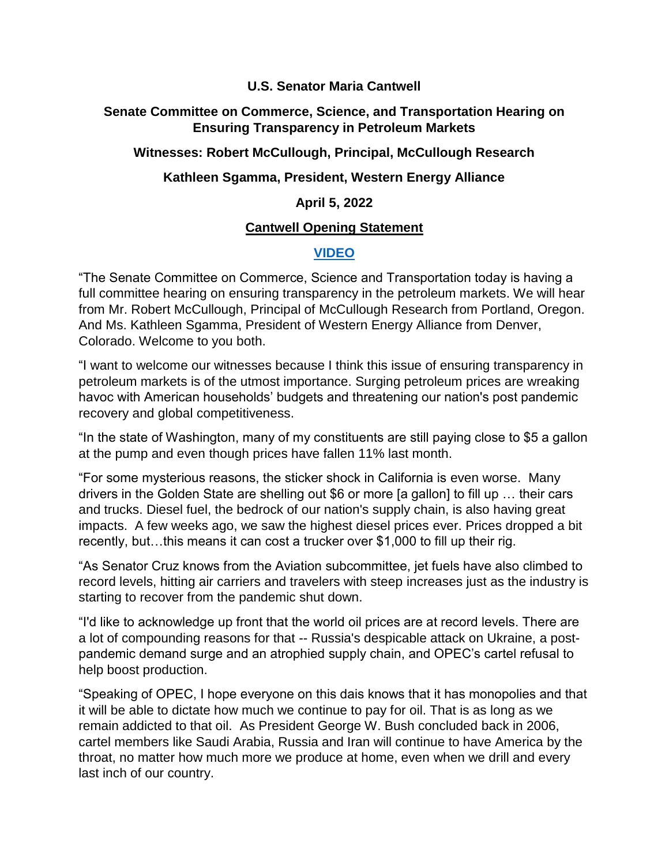#### **U.S. Senator Maria Cantwell**

### **Senate Committee on Commerce, Science, and Transportation Hearing on Ensuring Transparency in Petroleum Markets**

## **Witnesses: Robert McCullough, Principal, McCullough Research**

# **Kathleen Sgamma, President, Western Energy Alliance**

## **April 5, 2022**

### **Cantwell Opening Statement**

# **[VIDEO](https://www.youtube.com/watch?v=q0qTjvqF2RI)**

"The Senate Committee on Commerce, Science and Transportation today is having a full committee hearing on ensuring transparency in the petroleum markets. We will hear from Mr. Robert McCullough, Principal of McCullough Research from Portland, Oregon. And Ms. Kathleen Sgamma, President of Western Energy Alliance from Denver, Colorado. Welcome to you both.

"I want to welcome our witnesses because I think this issue of ensuring transparency in petroleum markets is of the utmost importance. Surging petroleum prices are wreaking havoc with American households' budgets and threatening our nation's post pandemic recovery and global competitiveness.

"In the state of Washington, many of my constituents are still paying close to \$5 a gallon at the pump and even though prices have fallen 11% last month.

"For some mysterious reasons, the sticker shock in California is even worse. Many drivers in the Golden State are shelling out \$6 or more [a gallon] to fill up … their cars and trucks. Diesel fuel, the bedrock of our nation's supply chain, is also having great impacts. A few weeks ago, we saw the highest diesel prices ever. Prices dropped a bit recently, but…this means it can cost a trucker over \$1,000 to fill up their rig.

"As Senator Cruz knows from the Aviation subcommittee, jet fuels have also climbed to record levels, hitting air carriers and travelers with steep increases just as the industry is starting to recover from the pandemic shut down.

"I'd like to acknowledge up front that the world oil prices are at record levels. There are a lot of compounding reasons for that -- Russia's despicable attack on Ukraine, a postpandemic demand surge and an atrophied supply chain, and OPEC's cartel refusal to help boost production.

"Speaking of OPEC, I hope everyone on this dais knows that it has monopolies and that it will be able to dictate how much we continue to pay for oil. That is as long as we remain addicted to that oil. As President George W. Bush concluded back in 2006, cartel members like Saudi Arabia, Russia and Iran will continue to have America by the throat, no matter how much more we produce at home, even when we drill and every last inch of our country.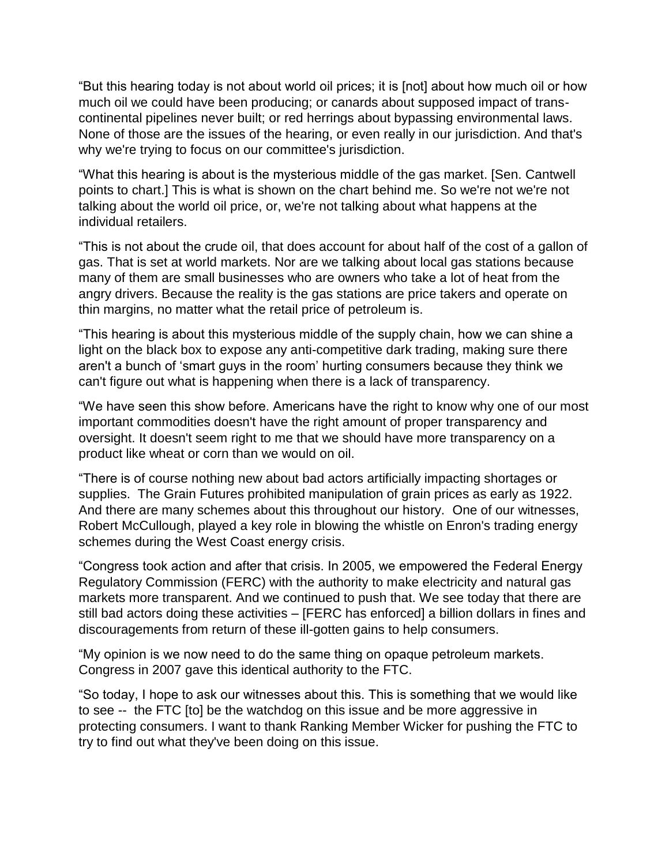"But this hearing today is not about world oil prices; it is [not] about how much oil or how much oil we could have been producing; or canards about supposed impact of transcontinental pipelines never built; or red herrings about bypassing environmental laws. None of those are the issues of the hearing, or even really in our jurisdiction. And that's why we're trying to focus on our committee's jurisdiction.

"What this hearing is about is the mysterious middle of the gas market. [Sen. Cantwell points to chart.] This is what is shown on the chart behind me. So we're not we're not talking about the world oil price, or, we're not talking about what happens at the individual retailers.

"This is not about the crude oil, that does account for about half of the cost of a gallon of gas. That is set at world markets. Nor are we talking about local gas stations because many of them are small businesses who are owners who take a lot of heat from the angry drivers. Because the reality is the gas stations are price takers and operate on thin margins, no matter what the retail price of petroleum is.

"This hearing is about this mysterious middle of the supply chain, how we can shine a light on the black box to expose any anti-competitive dark trading, making sure there aren't a bunch of 'smart guys in the room' hurting consumers because they think we can't figure out what is happening when there is a lack of transparency.

"We have seen this show before. Americans have the right to know why one of our most important commodities doesn't have the right amount of proper transparency and oversight. It doesn't seem right to me that we should have more transparency on a product like wheat or corn than we would on oil.

"There is of course nothing new about bad actors artificially impacting shortages or supplies. The Grain Futures prohibited manipulation of grain prices as early as 1922. And there are many schemes about this throughout our history. One of our witnesses, Robert McCullough, played a key role in blowing the whistle on Enron's trading energy schemes during the West Coast energy crisis.

"Congress took action and after that crisis. In 2005, we empowered the Federal Energy Regulatory Commission (FERC) with the authority to make electricity and natural gas markets more transparent. And we continued to push that. We see today that there are still bad actors doing these activities – [FERC has enforced] a billion dollars in fines and discouragements from return of these ill-gotten gains to help consumers.

"My opinion is we now need to do the same thing on opaque petroleum markets. Congress in 2007 gave this identical authority to the FTC.

"So today, I hope to ask our witnesses about this. This is something that we would like to see -- the FTC [to] be the watchdog on this issue and be more aggressive in protecting consumers. I want to thank Ranking Member Wicker for pushing the FTC to try to find out what they've been doing on this issue.